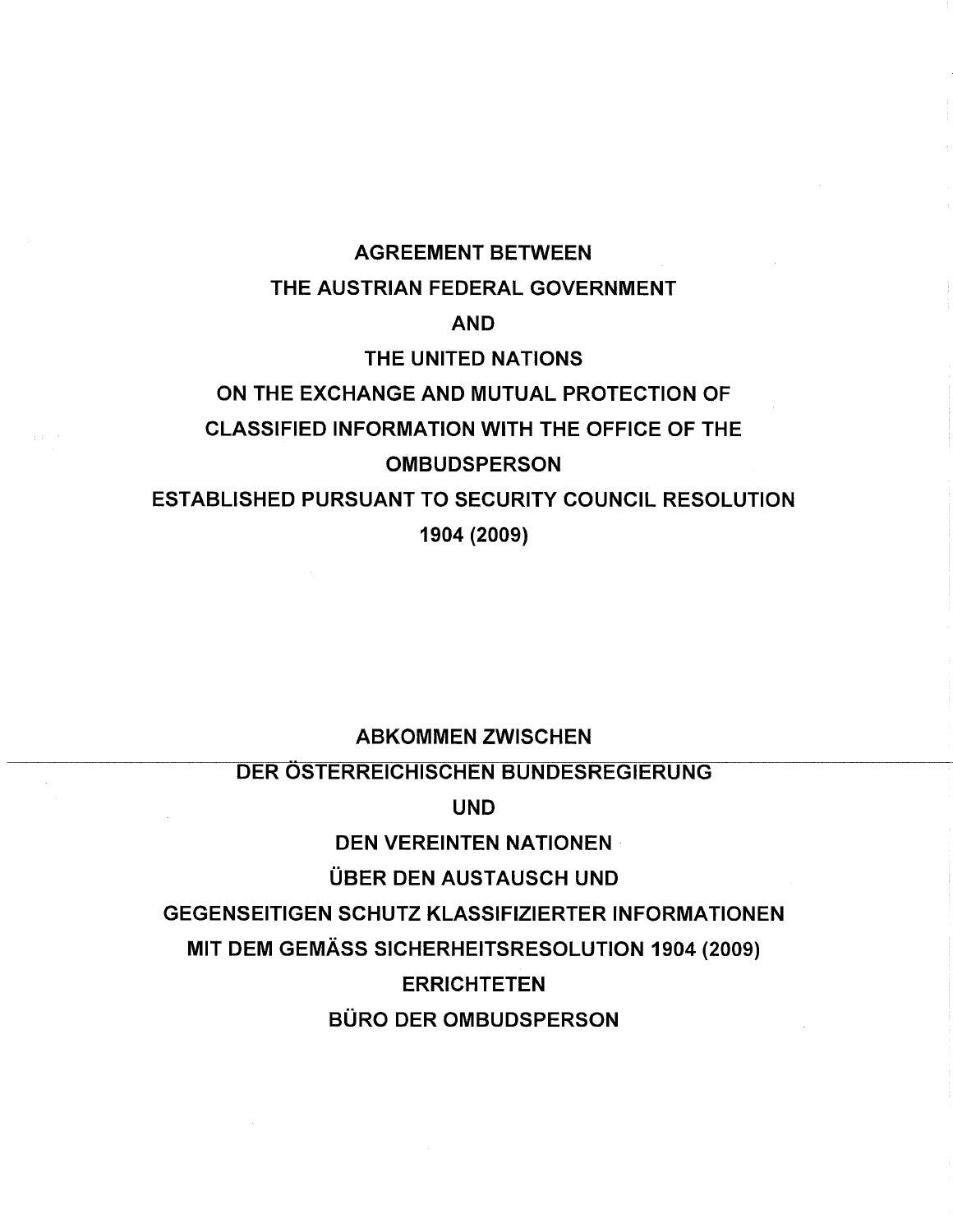# AGREEMENT BETWEEN THE AUSTRIAN FEDERAL GOVERNMENT AND THE UNITED NATIONS ON THE EXCHANGE AND MUTUAL PROTECTION OF CLASSIFIED INFORMATION WITH THE OFFICE OF THE **OMBUDSPERSON** ESTABLISHED PURSUANT TO SECURITY COUNCIL RESOLUTION 1904 (2009)

# ABKOMMEN ZWISCHEN

DER OSTERREICHISCHEN BUNDESREGIERUNG

UND

DEN VEREINTEN NATIONEN

UBER DEN AUSTAUSCH UND

GEGENSEITIGEN SCHUTZ KLASSIFIZIERTER INFORMATIONEN

MIT DEM GEMÄSS SICHERHEITSRESOLUTION 1904 (2009)

**ERRICHTETEN** 

BURO DER OMBUDSPERSON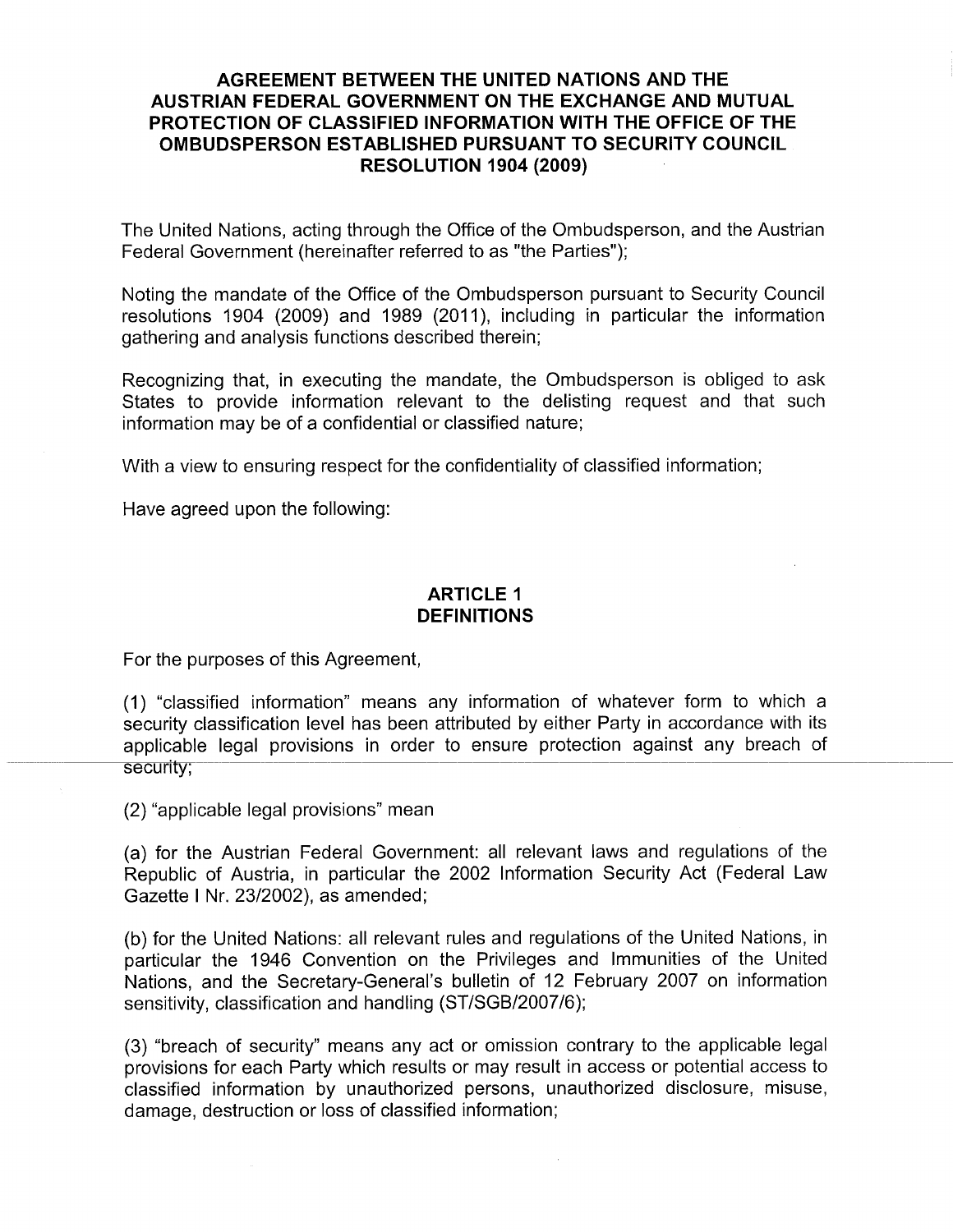# AGREEMENT BETWEEN THE UNITED NATIONS AND THE AUSTRIAN FEDERAL GOVERNMENT ON THE EXCHANGE AND MUTUAL PROTECTION OF CLASSIFIED INFORMATION WITH THE OFFICE OF THE OMBUDSPERSON ESTABLISHED PURSUANT TO SECURITY COUNCIL RESOLUTION 1904 (2009)

The United Nations, acting through the Office of the Ombudsperson, and the Austrian Federal Government (hereinafter referred to as "the Parties");

Noting the mandate of the Office of the Ombudsperson pursuant to Security Council resolutions 1904 (2009) and 1989 (2011), including in particular the information gathering and analysis functions described therein;

Recognizing that, in executing the mandate, the Ombudsperson is obliged to ask States to provide information relevant to the delisting request and that such information may be of a confidential or classified nature;

With a view to ensuring respect for the confidentiality of classified information;

Have agreed upon the following:

## ARTICLE 1 DEFINITIONS

For the purposes of this Agreement,

(1) "classified information" means any information of whatever form to which a security classification level has been attributed by either Party in accordance with its applicable legal provisions in order to ensure protection against any breach of security;

(2) "applicable legal provisions" mean

(a) for the Austrian Federal Government: all relevant laws and regulations of the Republic of Austria, in particular the 2002 Information Security Act (Federal Law Gazette I Nr. 23/2002), as amended;

(b) for the United Nations: all relevant rules and regulations of the United Nations, in particular the 1946 Convention on the Privileges and Immunities of the United Nations, and the Secretary-General's bulletin of 12 February 2007 on information sensitivity, classification and handling (ST/SGB/2007/6);

(3) "breach of security" means any act or omission contrary to the applicable legal provisions for each Party which results or may result in access or potential access to classified information by unauthorized persons, unauthorized disclosure, misuse, damage, destruction or loss of classified information;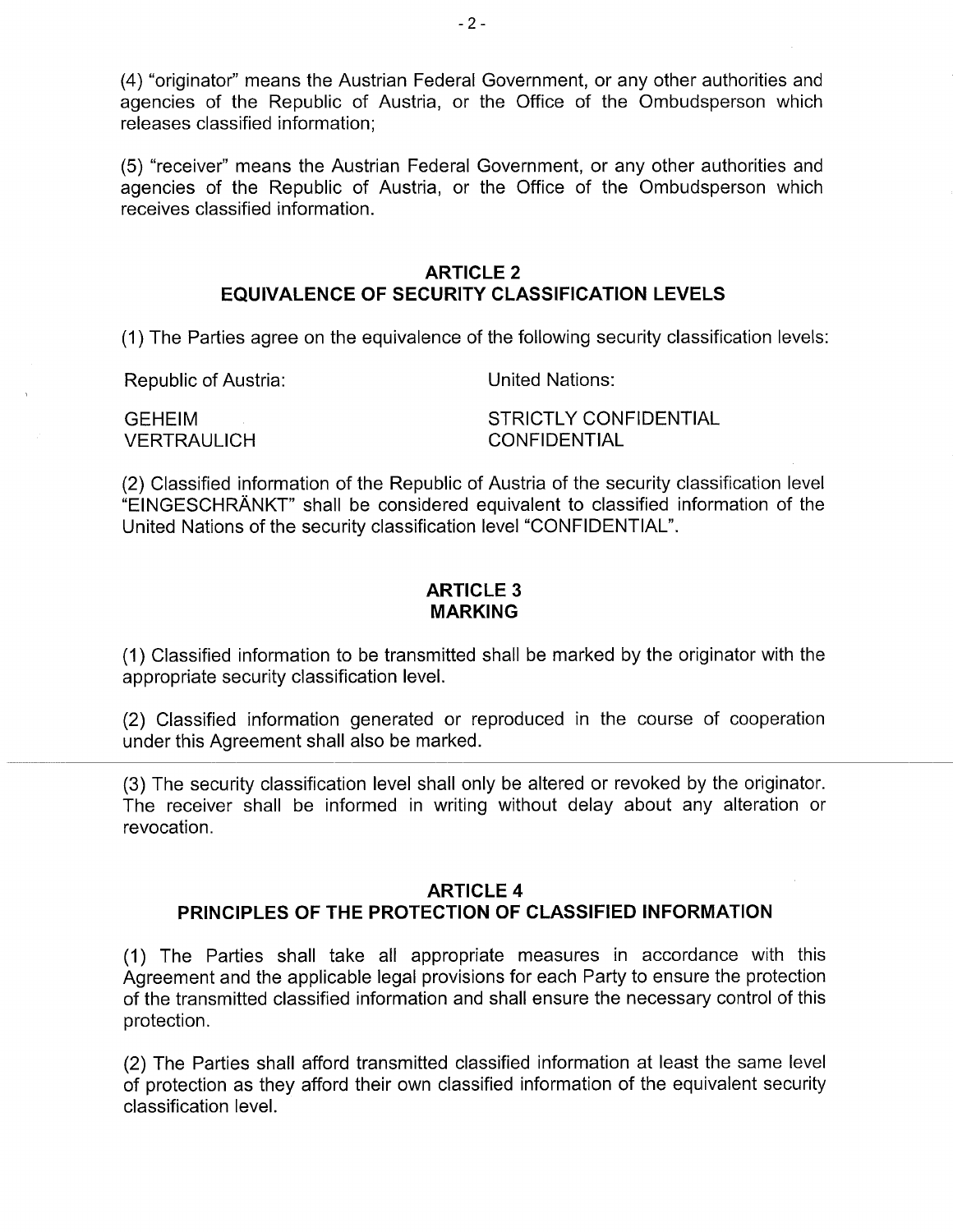(4) "originator" means the Austrian Federal Government, or any other authorities and agencies of the Republic of Austria, or the Office of the Ombudsperson which releases classified information;

(5) "receiver" means the Austrian Federal Government, or any other authorities and agencies of the Republic of Austria, or the Office of the Ombudsperson which receives classified information.

#### ARTICLE 2

# EQUIVALENCE OF SECURITY CLASSIFICATION LEVELS

(1) The Parties agree on the equivalence of the following security classification levels:

Republic of Austria:

United Nations:

**GEHEIM VERTRAULICH**  STRICTLY CONFIDENTIAL CONFIDENTIAL

(2) Classified information of the Republic of Austria of the security classification level "EINGESCHRÄNKT" shall be considered equivalent to classified information of the United Nations of the security classification level "CONFIDENTIAL".

#### ARTICLE 3 MARKING

(1) Classified information to be transmitted shall be marked by the originator with the appropriate security classification level.

(2) Classified information generated or reproduced in the course of cooperation under this Agreement shall also be marked.

(3) The security classification level shall only be altered or revoked by the originator. The receiver shall be informed in writing without delay about any alteration or revocation.

#### ARTICLE 4

# PRINCIPLES OF THE PROTECTION OF CLASSIFIED INFORMATION

(1) The Parties shall take all appropriate measures in accordance with this Agreement and the applicable legal provisions for each Party to ensure the protection of the transmitted classified information and shall ensure the necessary control of this protection.

(2) The Parties shall afford transmitted classified information at least the same level of protection as they afford their own classified information of the equivalent security classification level.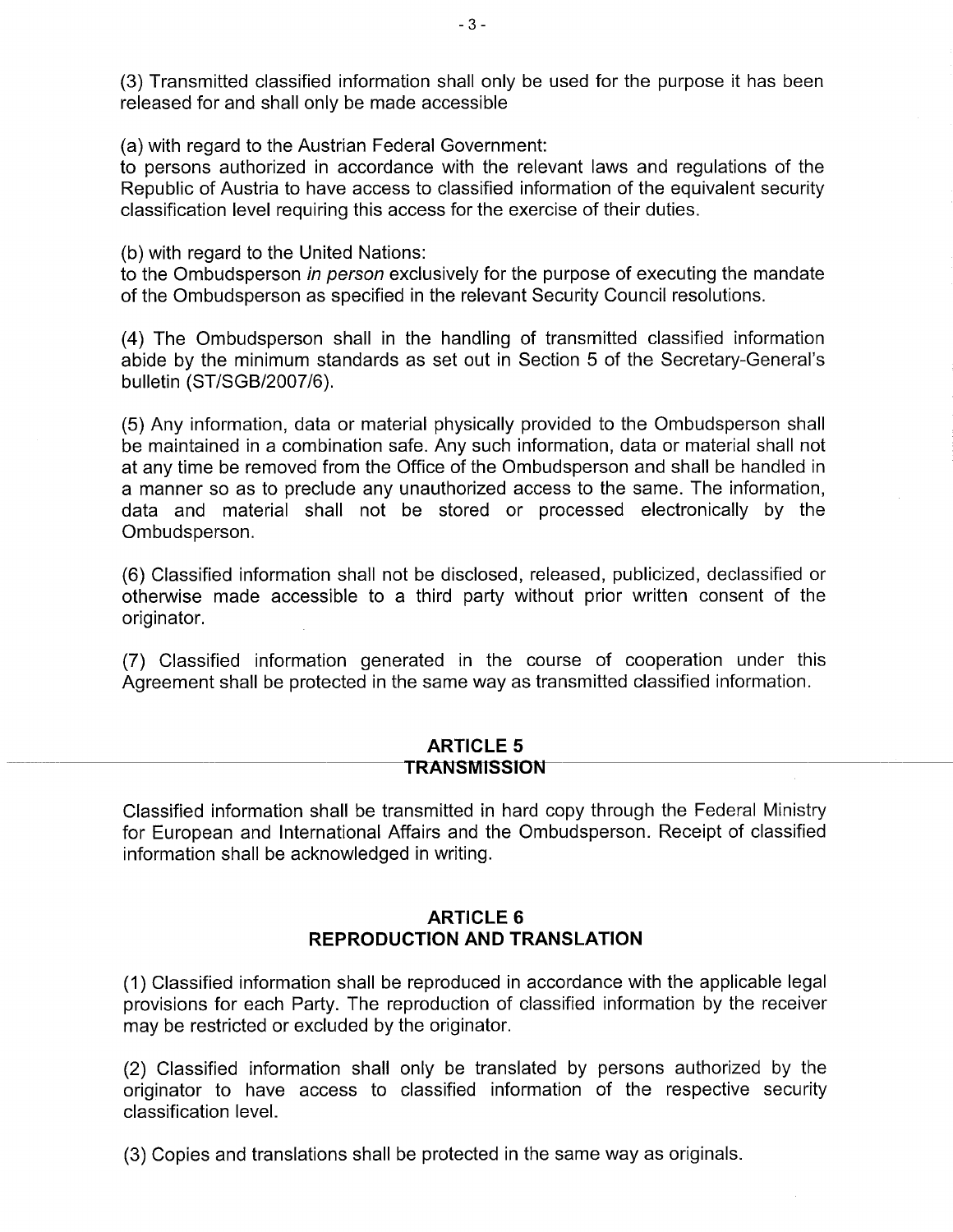(3) Transmitted classified information shall only be used for the purpose it has been released for and shall only be made accessible

(a) with regard to the Austrian Federal Government:

to persons authorized in accordance with the relevant laws and regulations of the Republic of Austria to have access to classified information of the equivalent security classification level requiring this access for the exercise of their duties.

(b) with regard to the United Nations:

to the Ombudsperson in person exclusively for the purpose of executing the mandate of the Ombudsperson as specified in the relevant Security Council resolutions.

(4) The Ombudsperson shall in the handling of transmitted classified information abide by the minimum standards as set out in Section 5 of the Secretary-General's bulletin (ST/SGB/2007/6).

(5) Any information, data or material physically provided to the Ombudsperson shall be maintained in a combination safe. Any such information, data or material shall not at any time be removed from the Office of the Ombudsperson and shall be handled in a manner so as to preclude any unauthorized access to the same. The information, data and material shall not be stored or processed electronically by the Ombudsperson.

(6) Classified information shall not be disclosed, released, publicized, declassified or otherwise made accessible to a third party without prior written consent of the originator.

(7) Classified information generated in the course of cooperation under this Agreement shall be protected in the same way as transmitted classified information.

# ARTICLE 5 **TRANSMISSION**

Classified information shall be transmitted in hard copy through the Federal Ministry for European and International Affairs and the Ombudsperson. Receipt of classified information shall be acknowledged in writing.

# ARTICLE 6 REPRODUCTION AND TRANSLATION

(1) Classified information shall be reproduced in accordance with the applicable legal provisions for each Party. The reproduction of classified information by the receiver may be restricted or excluded by the originator.

(2) Classified information shall only be translated by persons authorized by the originator to have access to classified information of the respective security classification level.

(3) Copies and translations shall be protected in the same way as originals.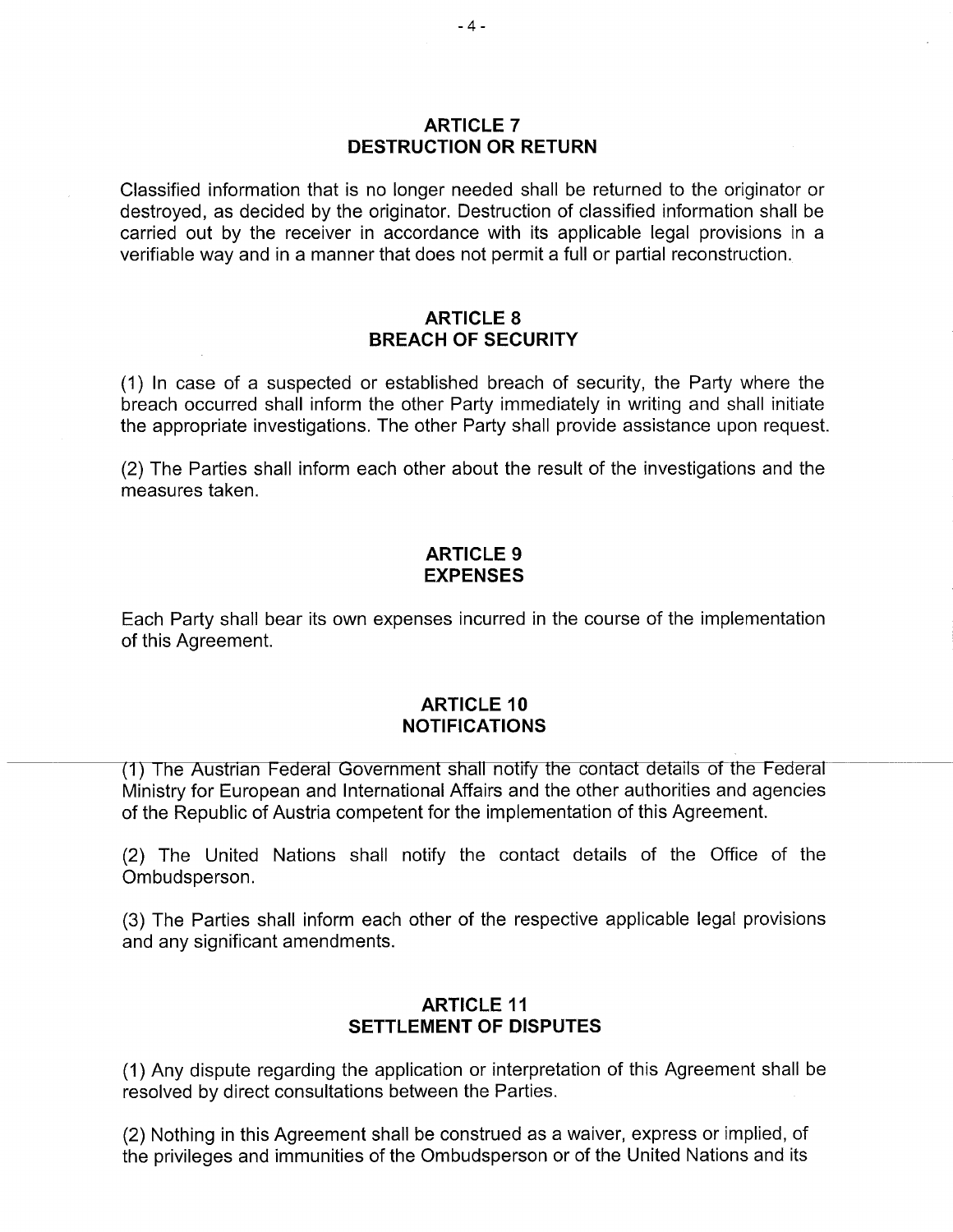#### ARTICLE 7 DESTRUCTION OR RETURN

Classified information that is no longer needed shall be returned to the originator or destroyed, as decided by the originator. Destruction of classified information shall be carried out by the receiver in accordance with its applicable legal provisions in a verifiable way and in a manner that does not permit a full or partial reconstruction.

## ARTICLE 8 BREACH OF SECURITY

(1) In case of a suspected or established breach of security, the Party where the breach occurred shall inform the other Party immediately in writing and shall initiate the appropriate investigations. The other Party shall provide assistance upon request.

(2) The Parties shall inform each other about the result of the investigations and the measures taken.

#### ARTICLE 9 EXPENSES

Each Party shall bear its own expenses incurred in the course of the implementation of this Agreement.

#### ARTICLE 10 **NOTIFICATIONS**

(1) The Austrian Federal Government shall notify the contact details of the Federal Ministry for European and International Affairs and the other authorities and agencies of the Republic of Austria competent for the implementation of this Agreement.

(2) The United Nations shall notify the contact details of the Office of the Ombudsperson.

(3) The Parties shall inform each other of the respective applicable legal provisions and any significant amendments.

## ARTICLE 11 SETTLEMENT OF DISPUTES

(1) Any dispute regarding the application or interpretation of this Agreement shall be resolved by direct consultations between the Parties.

(2) Nothing in this Agreement shall be construed as a waiver, express or implied, of the privileges and immunities of the Ombudsperson or of the United Nations and its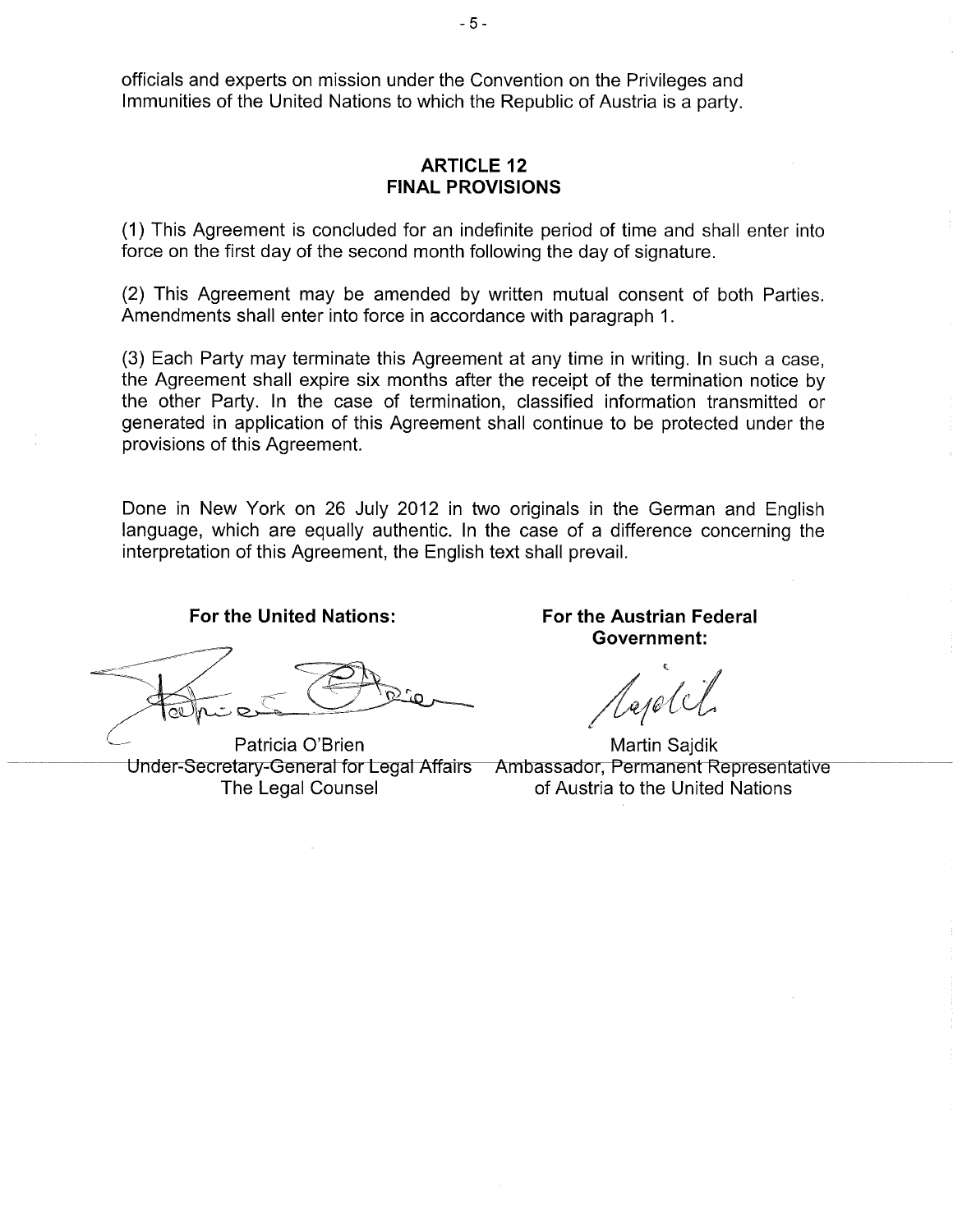officials and experts on mission under the Convention on the Privileges and Immunities of the United Nations to which the Republic of Austria is a party.

#### ARTICLE 12 FINAL PROVISIONS

(1) This Agreement is concluded for an indefinite period of time and shall enter into force on the first day of the second month following the day of signature.

(2) This Agreement may be amended by written mutual consent of both Parties. Amendments shall enter into force in accordance with paragraph 1.

(3) Each Party may terminate this Agreement at any time in writing. In such a case, the Agreement shall expire six months after the receipt of the termination notice by the other Party. In the case of termination, classified information transmitted or generated in application of this Agreement shall continue to be protected under the provisions of this Agreement.

Done in New York on 26 July 2012 in two originals in the German and English language, which are equally authentic. In the case of a difference concerning the interpretation of this Agreement, the English text shall prevail.

For the United Nations: For the Austrian Federal

 $\overline{\mathcal{C}}$ 

Patricia O'Brien Martin Sajdik Under-Secretary-General for Legal Affairs Ambassador, Permanent Representative

Government:

lapolet. L

The Legal Counsel **The Legal Counsel Counsel Counsel Counsel Counsel Counsel Counsel Counsel** of Austria to the United Nations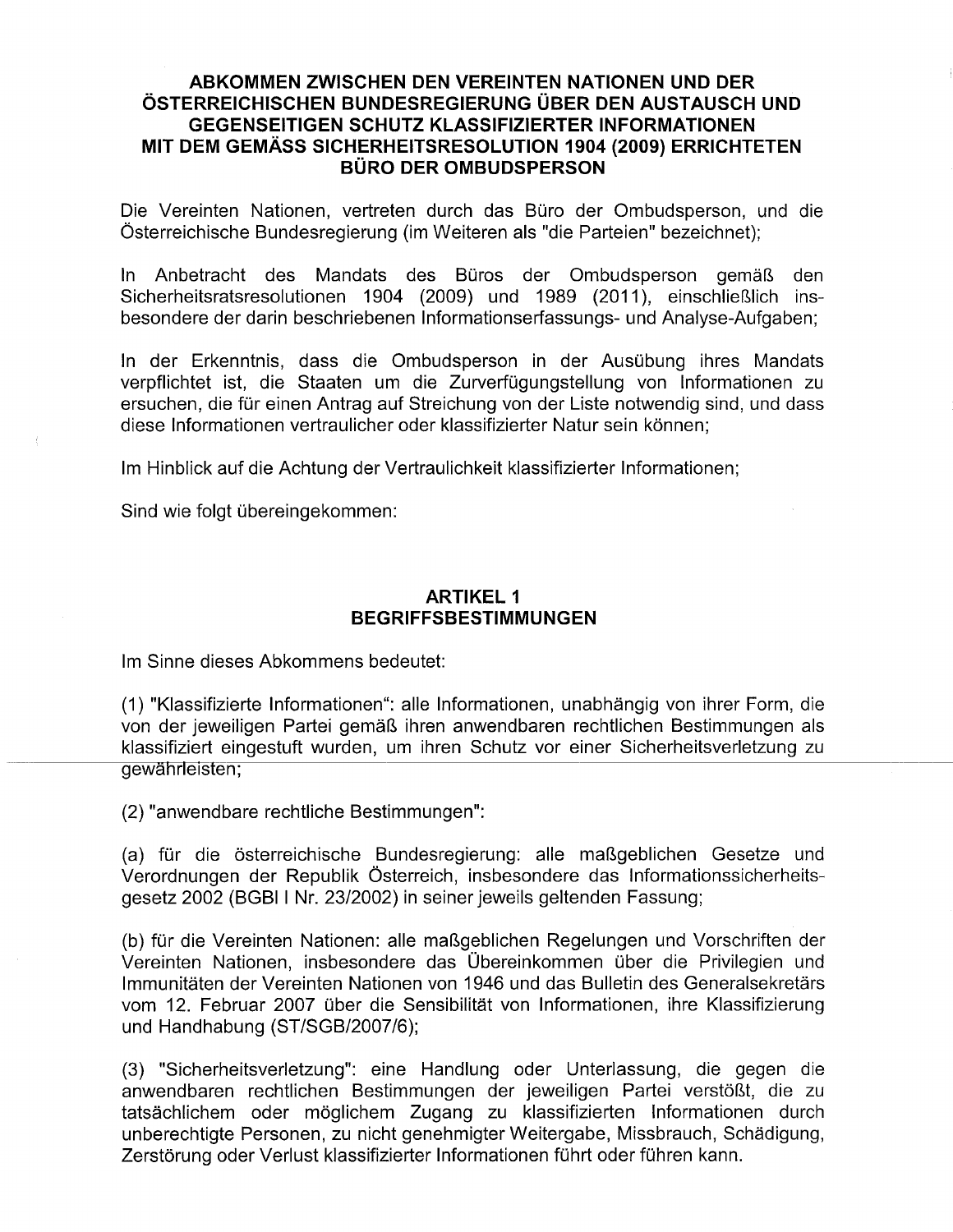## ABKOMMEN ZWISCHEN DEN VEREINTEN NATIONEN UND DER ÖSTERREICHISCHEN BUNDESREGIERUNG ÜBER DEN AUSTAUSCH UND GEGENSEITIGEN SCHUTZ KLASSIFIZIERTER INFORMATIONEN MIT DEM GEMÄSS SICHERHEITSRESOLUTION 1904 (2009) ERRICHTETEN BÜRO DER OMBUDSPERSON

Die Vereinten Nationen, vertreten durch das Büro der Ombudsperson, und die Osterreichische Bundesregierung (im Weiteren als "die Parteien" bezeichnet);

In Anbetracht des Mandats des Büros der Ombudsperson gemäß den Sicherheitsratsresolutionen 1904 (2009) und 1989 (2011), einschließlich insbesondere der darin beschriebenen Informationserfassungs-und Analyse-Aufgaben;

In der Erkenntnis, dass die Ombudsperson in der Ausübung ihres Mandats verpflichtet ist, die Staaten um die Zurverfügungstellung von Informationen zu ersuchen, die für einen Antrag auf Streichung von der Liste notwendig sind, und dass diese Informationen vertraulicher oder klassifizierter Natur sein können;

Im Hinblick auf die Achtung der Vertraulichkeit klassifizierter Informationen;

Sind wie folgt übereingekommen:

#### ARTIKEL 1 BEGRIFFSBESTIMMUNGEN

Im Sinne dieses Abkommens bedeutet:

(1) "Klassifizierte Informationen": alle Informationen, unabhängig von ihrer Form, die von der jeweiligen Partei gemäß ihren anwendbaren rechtlichen Bestimmungen als klassifiziert eingestuft wurden, um ihren Schutz vor einer Sicherheitsverletzung zu gewährleisten;

(2) "anwendbare rechtliche Bestimmungen":

(a) für die österreichische Bundesregierung: alle maßgeblichen Gesetze und Verordnungen der Republik Osterreich, insbesondere das Informationssicherheitsgesetz 2002 (BGBI I Nr. 23/2002) in seiner jeweils geltenden Fassung;

(b) für die Vereinten Nationen: alle maßgeblichen Regelungen und Vorschriften der Vereinten Nationen, insbesondere das Übereinkommen über die Privilegien und Immunitäten der Vereinten Nationen von 1946 und das Bulletin des Generalsekretärs vom 12. Februar 2007 über die Sensibilität von Informationen, ihre Klassifizierung und Handhabung (ST/SGB/2007/6);

(3) "Sicherheitsverletzung": eine Handlung oder Unterlassung, die gegen die anwendbaren rechtlichen Bestimmungen der jeweiligen Partei verstößt, die zu tatsÿchlichem oder m6glichem Zugang zu klassifizierten Informationen durch unberechtigte Personen, zu nicht genehmigter Weitergabe, Missbrauch, Schädigung, Zerstörung oder Verlust klassifizierter Informationen führt oder führen kann.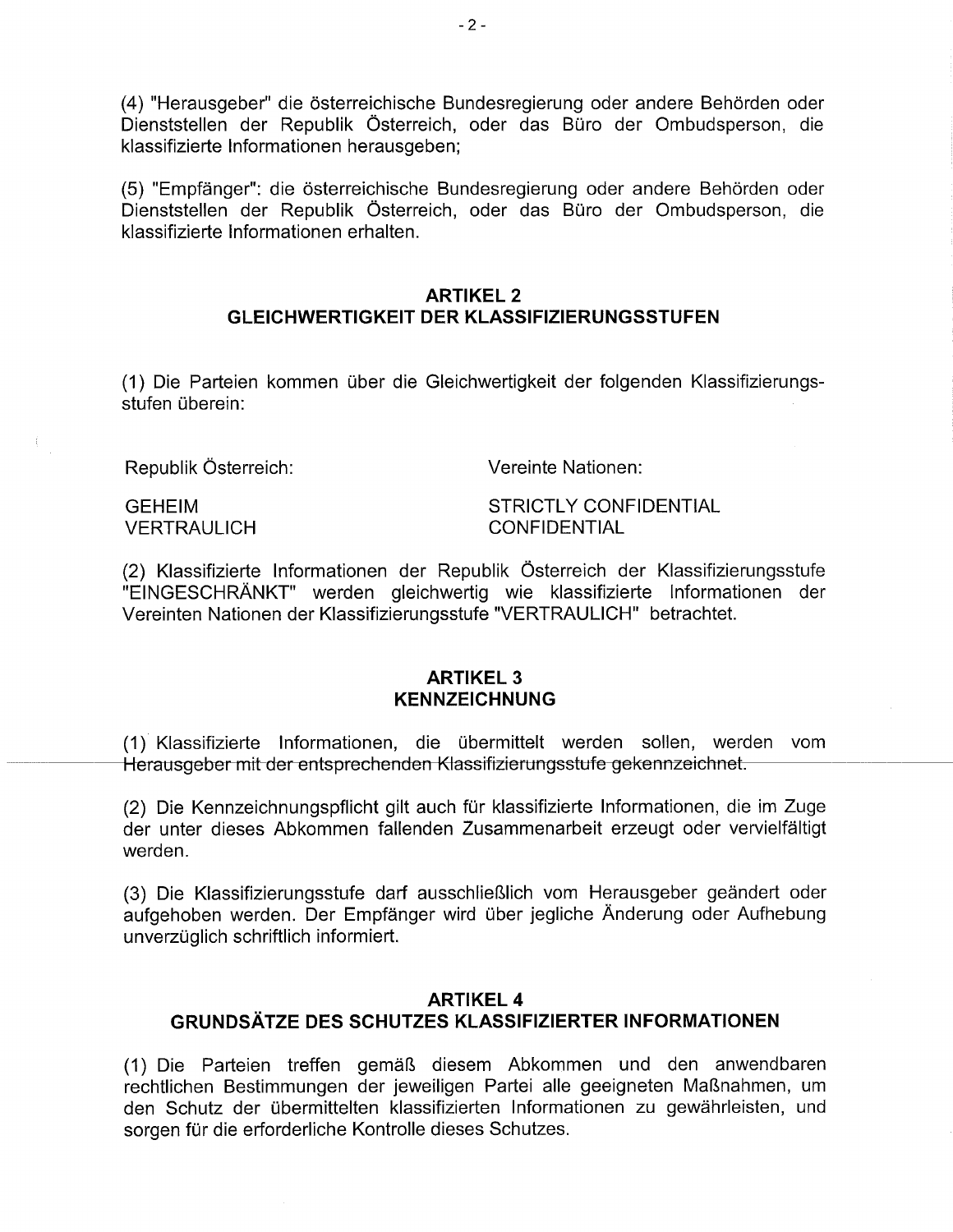(4) "Herausgeber" die 6sterreichische Bundesregierung oder andere Beh6rden oder Dienststellen der Republik Österreich, oder das Büro der Ombudsperson, die klassifizierte Informationen herausgeben;

(5) "Empfänger": die österreichische Bundesregierung oder andere Behörden oder Dienststellen der Republik Österreich, oder das Büro der Ombudsperson, die klassifizierte Informationen erhalten.

## ARTIKEL 2 GLEICHWERTIGKEIT DER KLASSIFIZIERUNGSSTUFEN

(1) Die Parteien kommen über die Gleichwertigkeit der folgenden Klassifizierungsstufen überein:

Republik Osterreich:

Vereinte Nationen:

GEHEIM **VERTRAULICH**  STRICTLY CONFIDENTIAL **CONFIDENTIAL** 

(2) Klassifizierte Informationen der Republik Osterreich der Klassifizierungsstufe "EINGESCHRÄNKT" werden gleichwertig wie klassifizierte Informationen der Vereinten Nationen der Klassifizierungsstufe "VERTRAULICH" betrachtet.

## ARTIKEL 3 KENNZEICHNUNG

(1) Klassifizierte Informationen, die übermittelt werden sollen, werden vom Herausgeber mit der entsprechenden Klassifizierungsstufe gekennzeichnet.

(2) Die Kennzeichnungspflicht gilt auch für klassifizierte Informationen, die im Zuge der unter dieses Abkommen fallenden Zusammenarbeit erzeugt oder vervielfältigt werden.

(3) Die Klassifizierungsstufe darf ausschließlich vom Herausgeber geändert oder aufgehoben werden. Der Empfänger wird über jegliche Änderung oder Aufhebung unverzüglich schriftlich informiert.

# ARTIKEL 4 GRUNDSATZE DES SCHUTZES KLASSIFIZIERTER INFORMATIONEN

(1) Die Parteien treffen gemäß diesem Abkommen und den anwendbaren rechtlichen Bestimmungen der jeweiligen Partei alle geeigneten Maßnahmen, um den Schutz der übermittelten klassifizierten Informationen zu gewährleisten, und sorgen für die erforderliche Kontrolle dieses Schutzes.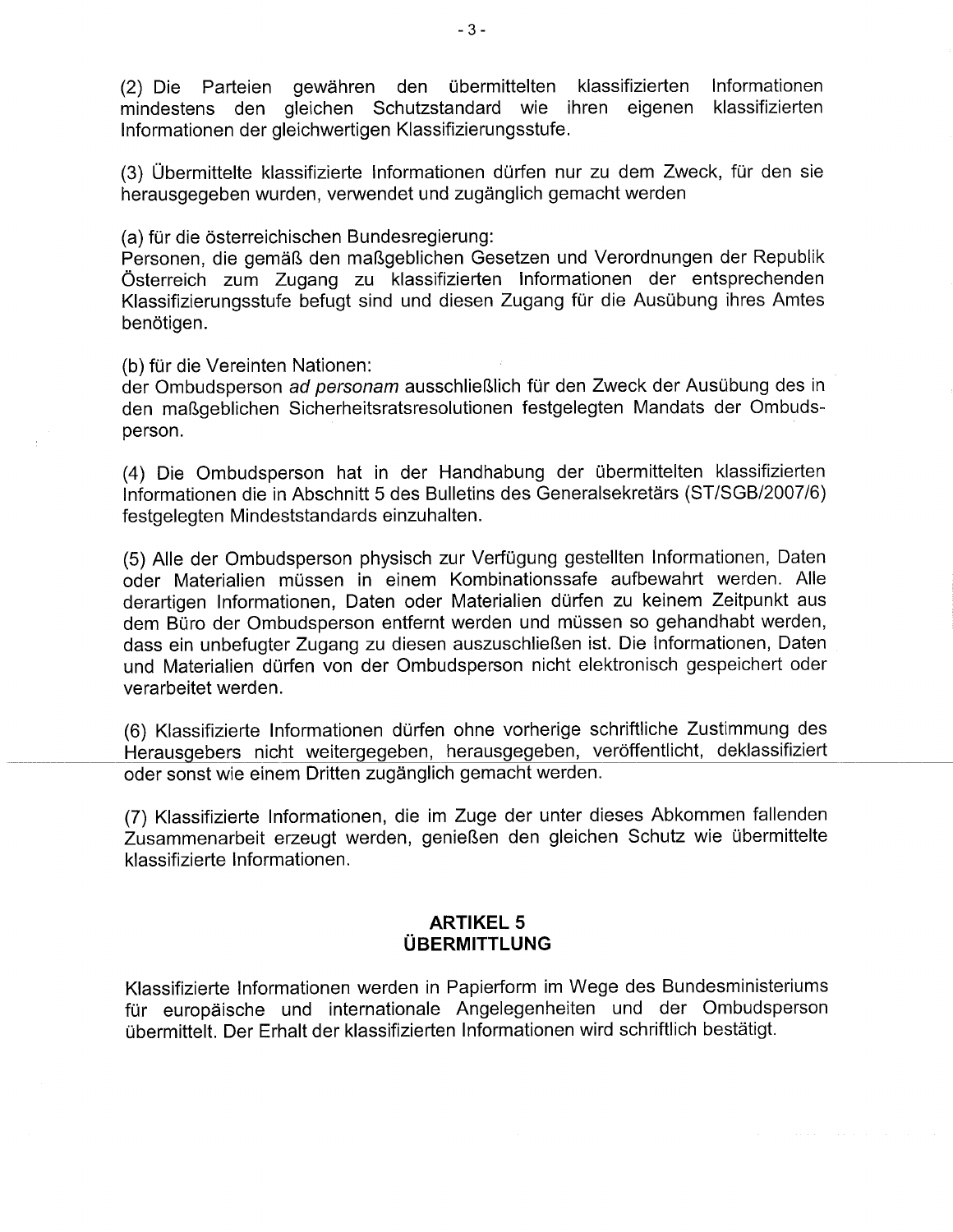(2) Die Parteien gewähren den übermittelten klassifizierten mindestens den gleichen Schutzstandard wie ihren eigenen Informationen der gleichwertigen Klassifizierungsstufe. Informationen klassifizierten

(3) Übermittelte klassifizierte Informationen dürfen nur zu dem Zweck, für den sie herausgegeben wurden, verwendet und zugänglich gemacht werden

(a) für die österreichischen Bundesregierung:

Personen, die gemäß den maßgeblichen Gesetzen und Verordnungen der Republik Osterreich zum Zugang zu klassifizierten Informationen der entsprechenden Klassifizierungsstufe befugt sind und diesen Zugang für die Ausübung ihres Amtes benötigen.

(b) für die Vereinten Nationen:

der Ombudsperson ad personam ausschließlich für den Zweck der Ausübung des in den malÿgeblichen Sicherheitsratsresolutionen festgelegten Mandats der Ombudsperson.

(4) Die Ombudsperson hat in der Handhabung der übermittelten klassifizierten Informationen die in Abschnitt 5 des Bulletins des Generalsekretärs (ST/SGB/2007/6) festgelegten Mindeststandards einzuhalten.

(5) Alle der Ombudsperson physisch zur Verfügung gestellten Informationen, Daten oder Materialien müssen in einem Kombinationssafe aufbewahrt werden. Alle derartigen Informationen, Daten oder Materialien dürfen zu keinem Zeitpunkt aus dem Büro der Ombudsperson entfernt werden und müssen so gehandhabt werden, dass ein unbefugter Zugang zu diesen auszuschließen ist. Die Informationen, Daten und Materialien dürfen von der Ombudsperson nicht elektronisch gespeichert oder verarbeitet werden.

(6) Klassifizierte Informationen dürfen ohne vorherige schriftliche Zustimmung des Herausgebers nicht weitergegeben, herausgegeben, ver6ffentlicht, deklassifiziert oder sonst wie einem Dritten zugänglich gemacht werden.

(7) Klassifizierte Informationen, die im Zuge der unter dieses Abkommen fallenden Zusammenarbeit erzeugt werden, genießen den gleichen Schutz wie übermittelte klassifizierte Informationen.

#### ARTIKEL 5 UBERMITTLUNG

Klassifizierte Informationen werden in Papierform im Wege des Bundesministeriums für europäische und internationale Angelegenheiten und der Ombudsperson übermittelt. Der Erhalt der klassifizierten Informationen wird schriftlich bestätigt.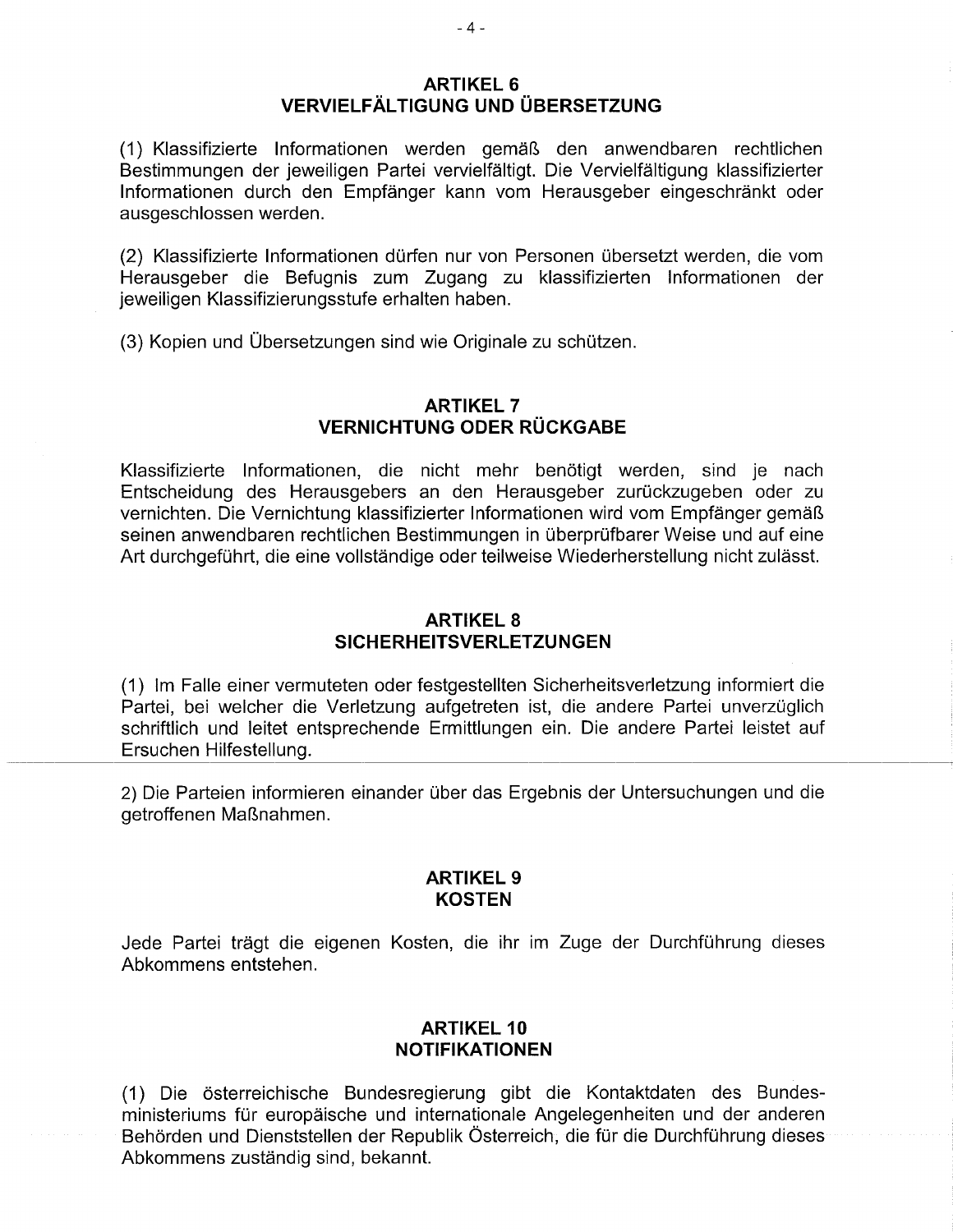## ARTIKEL 6 VERVIELFÄLTIGUNG UND ÜBERSETZUNG

(1) Klassifizierte Informationen werden gemäß den anwendbaren rechtlichen Bestimmungen der jeweiligen Partei vervielfältigt. Die Vervielfältigung klassifizierter Informationen durch den Empfänger kann vom Herausgeber eingeschränkt oder ausgeschlossen werden.

(2) Klassifizierte Informationen dürfen nur von Personen übersetzt werden, die vom Herausgeber die Befugnis zum Zugang zu klassifizierten Informationen der jeweiligen Klassifizierungsstufe erhalten haben.

(3) Kopien und Übersetzungen sind wie Originale zu schützen.

# ARTIKEL 7 VERNICHTUNG ODER RUCKGABE

Klassifizierte Informationen, die nicht mehr benötigt werden, sind je nach Entscheidung des Herausgebers an den Herausgeber zurückzugeben oder zu vernichten. Die Vernichtung klassifizierter Informationen wird vom Empfänger gemäß seinen anwendbaren rechtlichen Bestimmungen in überprüfbarer Weise und auf eine Art durchgeführt, die eine vollständige oder teilweise Wiederherstellung nicht zulässt.

### ARTIKEL 8 SICHERHEITSVERLETZUNGEN

(1) Im Falle einer vermuteten oder festgestellten Sicherheitsverletzung informiert die Partei, bei welcher die Verletzung aufgetreten ist, die andere Partei unverzüglich schriftlich und leitet entsprechende Ermittlungen ein. Die andere Partei leistet auf Ersuchen Hilfestellung.

2) Die Parteien informieren einander über das Ergebnis der Untersuchungen und die getroffenen Maßnahmen.

## ARTIKEL 9 KOSTEN

Jede Partei trägt die eigenen Kosten, die ihr im Zuge der Durchführung dieses Abkommens entstehen.

# ARTIKEL 10 NOTIFIKATIONEN

(1) Die 6sterreichische Bundesregierung gibt die Kontaktdaten des Bundesministeriums für europäische und internationale Angelegenheiten und der anderen Behörden und Dienststellen der Republik Österreich, die für die Durchführung dieses Abkommens zuständig sind, bekannt.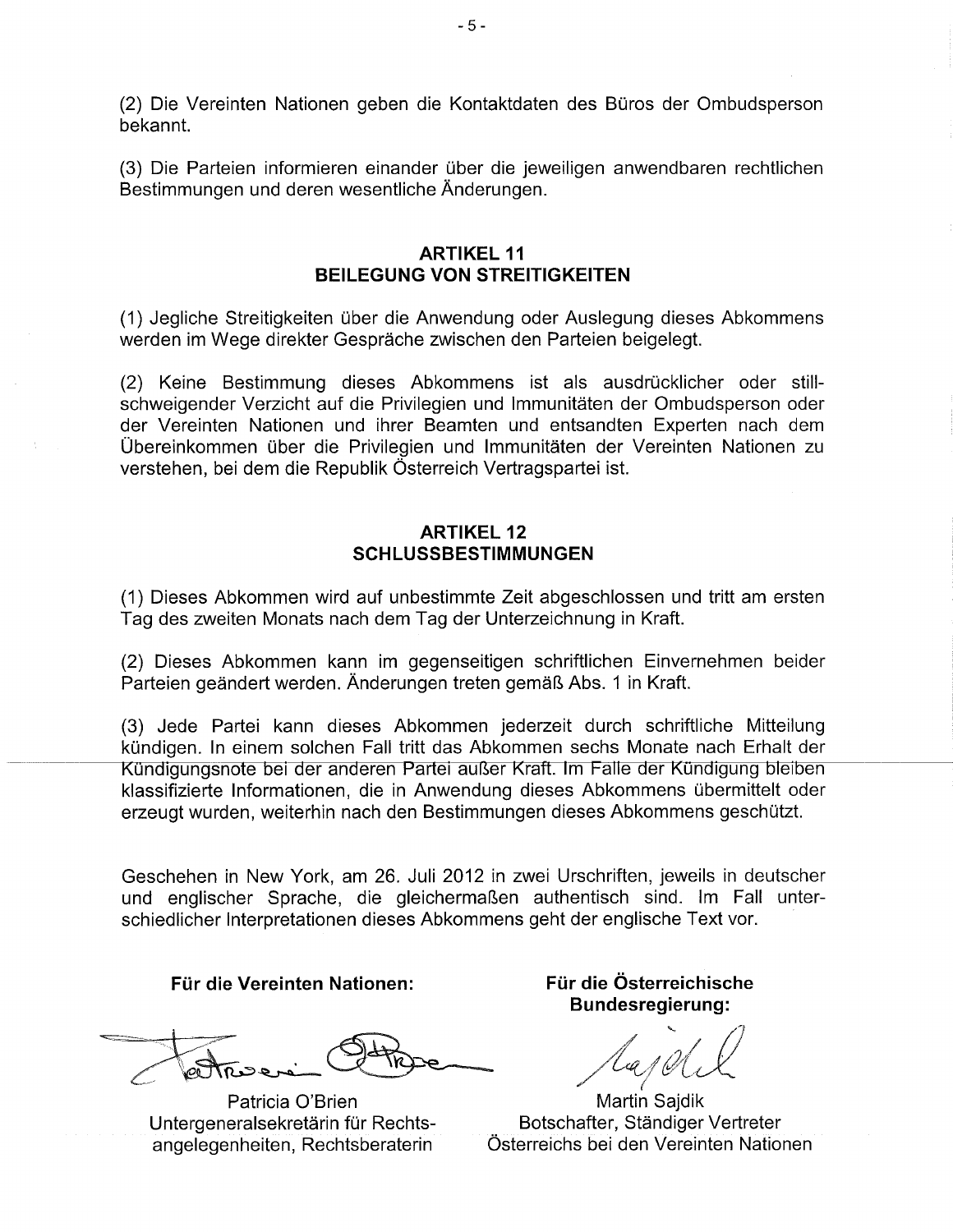(2) Die Vereinten Nationen geben die Kontaktdaten des Büros der Ombudsperson bekannt.

(3) Die Parteien informieren einander über die jeweiligen anwendbaren rechtlichen Bestimmungen und deren wesentliche Anderungen.

### ARTIKEL 11 BEILEGUNG VON STREITIGKEITEN

(1) Jegliche Streitigkeiten über die Anwendung oder Auslegung dieses Abkommens werden im Wege direkter Gespräche zwischen den Parteien beigelegt.

(2) Keine Bestimmung dieses Abkommens ist als ausdrücklicher oder stillschweigender Verzicht auf die Privilegien und Immunitäten der Ombudsperson oder der Vereinten Nationen und ihrer Beamten und entsandten Experten nach dem Übereinkommen über die Privilegien und Immunitäten der Vereinten Nationen zu verstehen, bei dem die Republik Osterreich Vertragspartei ist.

#### ARTIKEL 12 SCHLUSSBESTIMMUNGEN

(1) Dieses Abkommen wird auf unbestimmte Zeit abgeschlossen und tritt am ersten Tag des zweiten Monats nach dem Tag der Unterzeichnung in Kraft.

(2) Dieses Abkommen kann im gegenseitigen schriftlichen Einvemehmen beider Parteien geändert werden. Änderungen treten gemäß Abs. 1 in Kraft.

(3) Jede Partei kann dieses Abkommen jederzeit durch schriftliche Mitteilung kündigen. In einem solchen Fall tritt das Abkommen sechs Monate nach Erhalt der Kündigungsnote bei der anderen Partei außer Kraft. Im Falle der Kündigung bleiben klassifizierte Informationen, die in Anwendung dieses Abkommens übermittelt oder erzeugt wurden, weiterhin nach den Bestimmungen dieses Abkommens geschützt.

Geschehen in New York, am 26. Juli 2012 in zwei Urschriften, jeweils in deutscher und englischer Sprache, die gleichermaßen authentisch sind. Im Fall unterschiedlicher Interpretationen dieses Abkommens geht der englische Text vor.

Für die Vereinten Nationen: Für die Österreichische

Patricia O'Brien Untergeneralsekretärin für Rechtsangelegenheiten, Rechtsberaterin

Bundesregierung:

Martin Sajdik Botschafter, Ständiger Vertreter Osterreichs bei den Vereinten Nationen